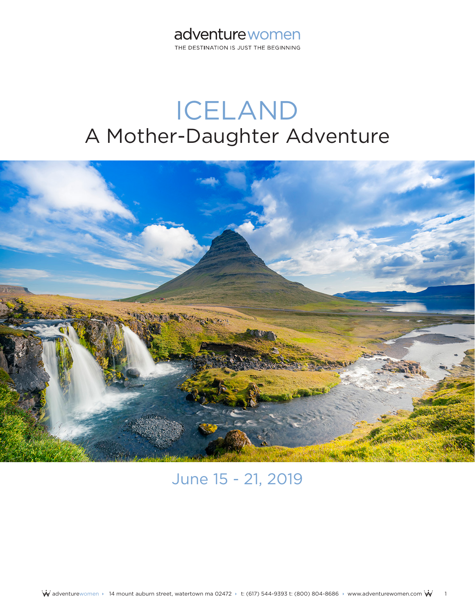THE DESTINATION IS JUST THE BEGINNING

# ICELAND A Mother-Daughter Adventure



# June 15 - 21, 2019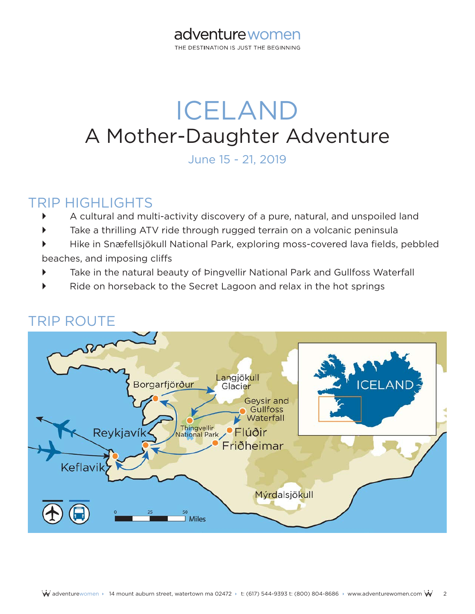THE DESTINATION IS JUST THE BEGINNING

# ICELAND A Mother-Daughter Adventure

June 15 - 21, 2019

## TRIP HIGHLIGHTS

- A cultural and multi-activity discovery of a pure, natural, and unspoiled land
- Take a thrilling ATV ride through rugged terrain on a volcanic peninsula
- ` Hike in Snæfellsjökull National Park, exploring moss-covered lava fields, pebbled beaches, and imposing cliffs
- Take in the natural beauty of Þingvellir National Park and Gullfoss Waterfall
- Ride on horseback to the Secret Lagoon and relax in the hot springs



## TRIP ROUTE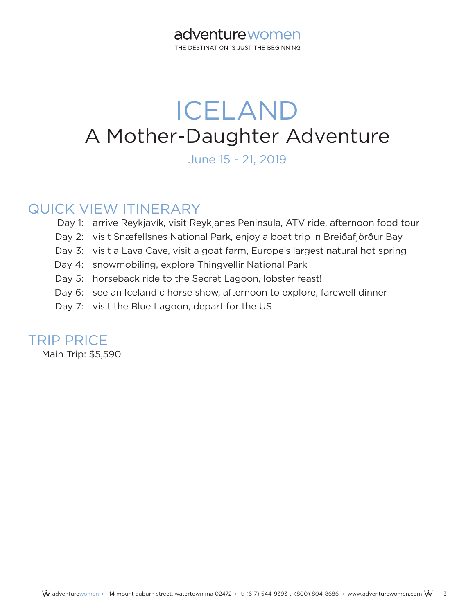THE DESTINATION IS JUST THE BEGINNING

# ICELAND A Mother-Daughter Adventure

June 15 - 21, 2019

## QUICK VIEW ITINERARY

- Day 1: arrive Reykjavík, visit Reykjanes Peninsula, ATV ride, afternoon food tour
- Day 2: visit Snæfellsnes National Park, enjoy a boat trip in Breiðafjörður Bay
- Day 3: visit a Lava Cave, visit a goat farm, Europe's largest natural hot spring
- Day 4: snowmobiling, explore Thingvellir National Park
- Day 5: horseback ride to the Secret Lagoon, lobster feast!
- Day 6: see an Icelandic horse show, afternoon to explore, farewell dinner
- Day 7: visit the Blue Lagoon, depart for the US

## TRIP PRICE

Main Trip: \$5,590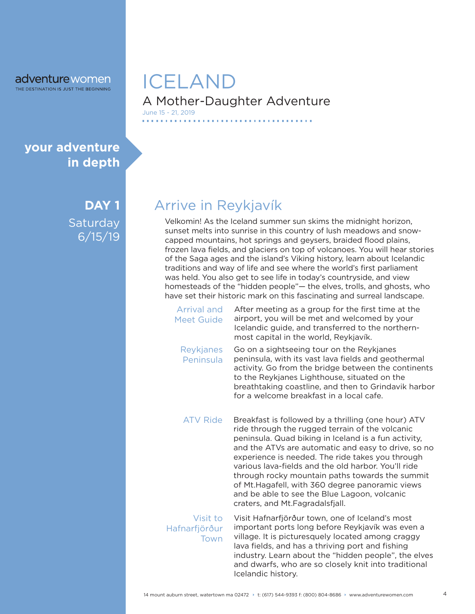THE DESTINATION IS JUST THE BEGINNING

## **your adventure in depth**

**DAY 1 Saturday** 6/15/19

## A Mother-Daughter Adventure ICELAND June 15 - 21, 2019

# Arrive in Reykjavík

Velkomin! As the Iceland summer sun skims the midnight horizon, sunset melts into sunrise in this country of lush meadows and snowcapped mountains, hot springs and geysers, braided flood plains, frozen lava fields, and glaciers on top of volcanoes. You will hear stories of the Saga ages and the island's Viking history, learn about Icelandic traditions and way of life and see where the world's first parliament was held. You also get to see life in today's countryside, and view homesteads of the "hidden people"— the elves, trolls, and ghosts, who have set their historic mark on this fascinating and surreal landscape.

| Arrival and<br><b>Meet Guide</b>  | After meeting as a group for the first time at the<br>airport, you will be met and welcomed by your<br>Icelandic guide, and transferred to the northern-<br>most capital in the world, Reykjavík.                                                                                                                                                                                                                                                                                                                          |
|-----------------------------------|----------------------------------------------------------------------------------------------------------------------------------------------------------------------------------------------------------------------------------------------------------------------------------------------------------------------------------------------------------------------------------------------------------------------------------------------------------------------------------------------------------------------------|
| Reykjanes<br>Peninsula            | Go on a sightseeing tour on the Reykjanes<br>peninsula, with its vast lava fields and geothermal<br>activity. Go from the bridge between the continents<br>to the Reykjanes Lighthouse, situated on the<br>breathtaking coastline, and then to Grindavik harbor<br>for a welcome breakfast in a local cafe.                                                                                                                                                                                                                |
| <b>ATV Ride</b>                   | Breakfast is followed by a thrilling (one hour) ATV<br>ride through the rugged terrain of the volcanic<br>peninsula. Quad biking in Iceland is a fun activity,<br>and the ATVs are automatic and easy to drive, so no<br>experience is needed. The ride takes you through<br>various lava-fields and the old harbor. You'll ride<br>through rocky mountain paths towards the summit<br>of Mt. Hagafell, with 360 degree panoramic views<br>and be able to see the Blue Lagoon, volcanic<br>craters, and Mt.Fagradalsfjall. |
| Visit to<br>Hafnarfjörður<br>Town | Visit Hafnarfjörður town, one of Iceland's most<br>important ports long before Reykjavík was even a<br>village. It is picturesquely located among craggy<br>lava fields, and has a thriving port and fishing<br>industry. Learn about the "hidden people", the elves<br>and dwarfs, who are so closely knit into traditional                                                                                                                                                                                               |

Icelandic history.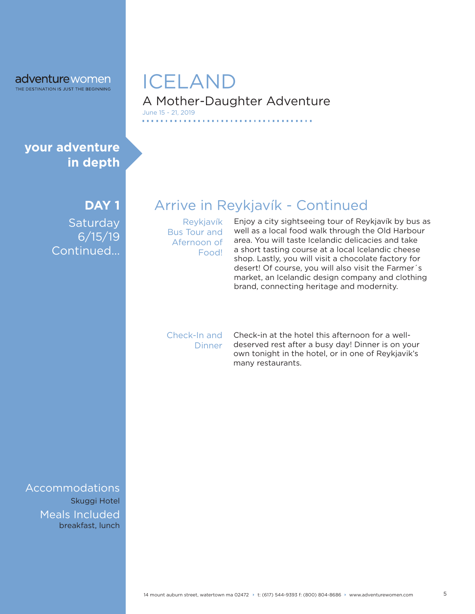#### A Mother-Daughter Adventure ICELAND June 15 - 21, 2019

### **your adventure in depth**

#### **DAY 1**

**Saturday** 6/15/19 Continued...

Arrive in Reykjavík - Continued

*<u><b>I I <i>I* **I** *I I I I I*</u>

Reykjavík Bus Tour and Afernoon of Food!

Enjoy a city sightseeing tour of Reykjavík by bus as well as a local food walk through the Old Harbour area. You will taste Icelandic delicacies and take a short tasting course at a local Icelandic cheese shop. Lastly, you will visit a chocolate factory for desert! Of course, you will also visit the Farmer´s market, an Icelandic design company and clothing brand, connecting heritage and modernity.

Check-In and **Dinner** 

Check-in at the hotel this afternoon for a welldeserved rest after a busy day! Dinner is on your own tonight in the hotel, or in one of Reykjavik's many restaurants.

breakfast, lunch Accommodations Skuggi Hotel Meals Included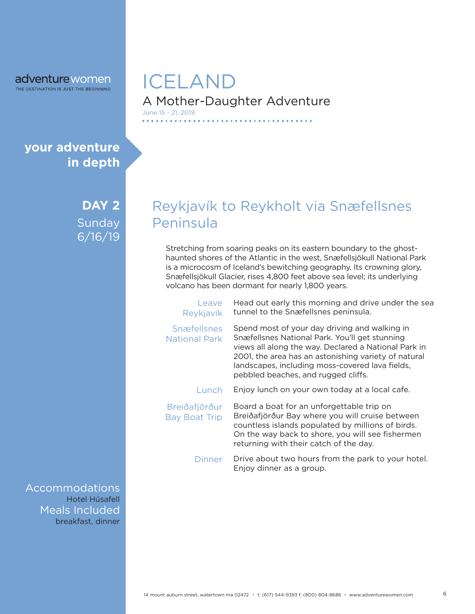## **your adventure in depth**

**DAY 2** Sunday 6/16/19

breakfast, dinner Accommodations Meals Included Hotel Húsafell

## A Mother-Daughter Adventure ICELAND June 15 - 21, 2019

## Reykjavík to Reykholt via Snæfellsnes Peninsula

. . . . . . . . . . . . . . . . . .

Stretching from soaring peaks on its eastern boundary to the ghosthaunted shores of the Atlantic in the west, Snæfellsjökull National Park is a microcosm of Iceland's bewitching geography. Its crowning glory, Snæfellsjökull Glacier, rises 4,800 feet above sea level; its underlying volcano has been dormant for nearly 1,800 years.

| Leave<br>Reykjavík                         | Head out early this morning and drive under the sea<br>tunnel to the Snæfellsnes peninsula.                                                                                                                                                                                                               |
|--------------------------------------------|-----------------------------------------------------------------------------------------------------------------------------------------------------------------------------------------------------------------------------------------------------------------------------------------------------------|
| <b>Snæfellsnes</b><br><b>National Park</b> | Spend most of your day driving and walking in<br>Snæfellsnes National Park. You'll get stunning<br>views all along the way. Declared a National Park in<br>2001, the area has an astonishing variety of natural<br>landscapes, including moss-covered lava fields,<br>pebbled beaches, and rugged cliffs. |
| Lunch                                      | Enjoy lunch on your own today at a local cafe.                                                                                                                                                                                                                                                            |
| Breiðafjörður<br><b>Bay Boat Trip</b>      | Board a boat for an unforgettable trip on<br>Breiðafjörður Bay where you will cruise between<br>countless islands populated by millions of birds.<br>On the way back to shore, you will see fishermen<br>returning with their catch of the day.                                                           |
| Dinner                                     | Drive about two hours from the park to your hotel.<br>Enjoy dinner as a group.                                                                                                                                                                                                                            |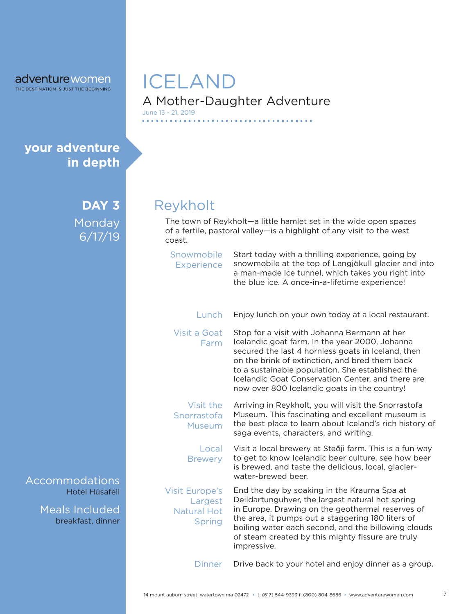### A Mother-Daughter Adventure ICELAND June 15 - 21, 2019

**your adventure in depth**

> **DAY 3** Monday 6/17/19

Hotel Húsafell Accommodations

> breakfast, dinner Meals Included

# Reykholt

**CONTRACT** 

The town of Reykholt—a little hamlet set in the wide open spaces of a fertile, pastoral valley—is a highlight of any visit to the west coast.

| Snowmobile<br><b>Experience</b>                                         | Start today with a thrilling experience, going by<br>snowmobile at the top of Langjökull glacier and into<br>a man-made ice tunnel, which takes you right into<br>the blue ice. A once-in-a-lifetime experience!                                                                                                                                                |
|-------------------------------------------------------------------------|-----------------------------------------------------------------------------------------------------------------------------------------------------------------------------------------------------------------------------------------------------------------------------------------------------------------------------------------------------------------|
| Lunch                                                                   | Enjoy lunch on your own today at a local restaurant.                                                                                                                                                                                                                                                                                                            |
| Visit a Goat<br>Farm                                                    | Stop for a visit with Johanna Bermann at her<br>Icelandic goat farm. In the year 2000, Johanna<br>secured the last 4 hornless goats in Iceland, then<br>on the brink of extinction, and bred them back<br>to a sustainable population. She established the<br>Icelandic Goat Conservation Center, and there are<br>now over 800 Icelandic goats in the country! |
| Visit the<br>Snorrastofa<br><b>Museum</b>                               | Arriving in Reykholt, you will visit the Snorrastofa<br>Museum. This fascinating and excellent museum is<br>the best place to learn about Iceland's rich history of<br>saga events, characters, and writing.                                                                                                                                                    |
| Local<br><b>Brewery</b>                                                 | Visit a local brewery at Steðji farm. This is a fun way<br>to get to know Icelandic beer culture, see how beer<br>is brewed, and taste the delicious, local, glacier-<br>water-brewed beer.                                                                                                                                                                     |
| <b>Visit Europe's</b><br>Largest<br><b>Natural Hot</b><br><b>Spring</b> | End the day by soaking in the Krauma Spa at<br>Deildartunguhver, the largest natural hot spring<br>in Europe. Drawing on the geothermal reserves of<br>the area, it pumps out a staggering 180 liters of<br>boiling water each second, and the billowing clouds<br>of steam created by this mighty fissure are truly<br>impressive.                             |
| Dinner                                                                  | Drive back to your hotel and enjoy dinner as a group.                                                                                                                                                                                                                                                                                                           |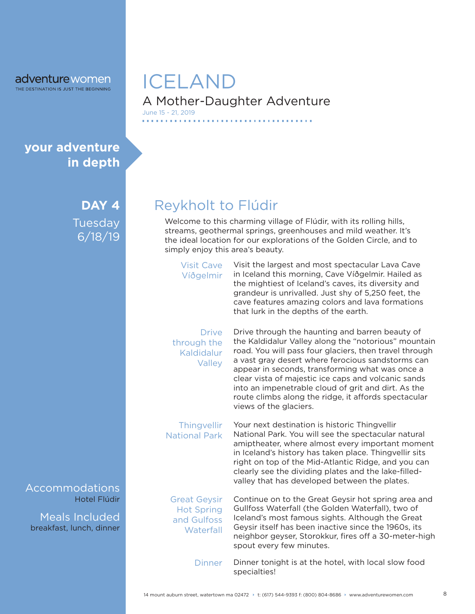## **your adventure in depth**

**DAY 4** Tuesday 6/18/19

Hotel Flúdir Accommodations

breakfast, lunch, dinner Meals Included

## A Mother-Daughter Adventure ICELAND June 15 - 21, 2019

Reykholt to Flúdir

. . . . . . . . . . . .

Welcome to this charming village of Flúdir, with its rolling hills, streams, geothermal springs, greenhouses and mild weather. It's the ideal location for our explorations of the Golden Circle, and to simply enjoy this area's beauty.

. . . . . . . . . . . . . . . .

| <b>Visit Cave</b><br>Víðgelmir                                       | Visit the largest and most spectacular Lava Cave<br>in Iceland this morning, Cave Víðgelmir. Hailed as<br>the mightiest of Iceland's caves, its diversity and<br>grandeur is unrivalled. Just shy of 5,250 feet, the<br>cave features amazing colors and lava formations<br>that lurk in the depths of the earth.                                                                                                                                                         |
|----------------------------------------------------------------------|---------------------------------------------------------------------------------------------------------------------------------------------------------------------------------------------------------------------------------------------------------------------------------------------------------------------------------------------------------------------------------------------------------------------------------------------------------------------------|
| <b>Drive</b><br>through the<br>Kaldidalur<br>Valley                  | Drive through the haunting and barren beauty of<br>the Kaldidalur Valley along the "notorious" mountain<br>road. You will pass four glaciers, then travel through<br>a vast gray desert where ferocious sandstorms can<br>appear in seconds, transforming what was once a<br>clear vista of majestic ice caps and volcanic sands<br>into an impenetrable cloud of grit and dirt. As the<br>route climbs along the ridge, it affords spectacular<br>views of the glaciers. |
| Thingvellir<br><b>National Park</b>                                  | Your next destination is historic Thingvellir<br>National Park. You will see the spectacular natural<br>amiptheater, where almost every important moment<br>in Iceland's history has taken place. Thingvellir sits<br>right on top of the Mid-Atlantic Ridge, and you can<br>clearly see the dividing plates and the lake-filled-<br>valley that has developed between the plates.                                                                                        |
| <b>Great Geysir</b><br><b>Hot Spring</b><br>and Gulfoss<br>Waterfall | Continue on to the Great Geysir hot spring area and<br>Gullfoss Waterfall (the Golden Waterfall), two of<br>Iceland's most famous sights. Although the Great<br>Geysir itself has been inactive since the 1960s, its<br>neighbor geyser, Storokkur, fires off a 30-meter-high<br>spout every few minutes.                                                                                                                                                                 |
| <b>Dinner</b>                                                        | Dinner tonight is at the hotel, with local slow food<br>specialties!                                                                                                                                                                                                                                                                                                                                                                                                      |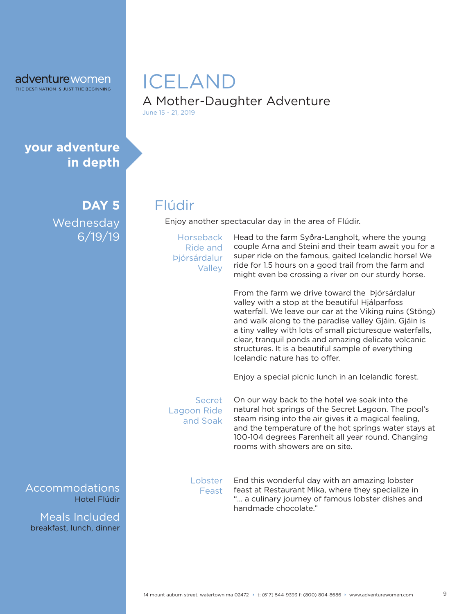### A Mother-Daughter Adventure ICELAND June 15 - 21, 2019

**your adventure in depth**

> **DAY 5 Wednesday** 6/19/19

Flúdir

Enjoy another spectacular day in the area of Flúdir.

**Horseback** Ride and Þjórsárdalur **Valley** 

Head to the farm Syðra-Langholt, where the young couple Arna and Steini and their team await you for a super ride on the famous, gaited Icelandic horse! We ride for 1.5 hours on a good trail from the farm and might even be crossing a river on our sturdy horse.

From the farm we drive toward the Þjórsárdalur valley with a stop at the beautiful Hjálparfoss waterfall. We leave our car at the Viking ruins (Stöng) and walk along to the paradise valley Gjáin. Gjáin is a tiny valley with lots of small picturesque waterfalls, clear, tranquil ponds and amazing delicate volcanic structures. It is a beautiful sample of everything Icelandic nature has to offer.

Enjoy a special picnic lunch in an Icelandic forest.

Secret Lagoon Ride and Soak

On our way back to the hotel we soak into the natural hot springs of the Secret Lagoon. The pool's steam rising into the air gives it a magical feeling, and the temperature of the hot springs water stays at 100-104 degrees Farenheit all year round. Changing rooms with showers are on site.

**Lobster** Feast

End this wonderful day with an amazing lobster feast at Restaurant Mika, where they specialize in "... a culinary journey of famous lobster dishes and handmade chocolate."

Hotel Flúdir Accommodations

breakfast, lunch, dinner Meals Included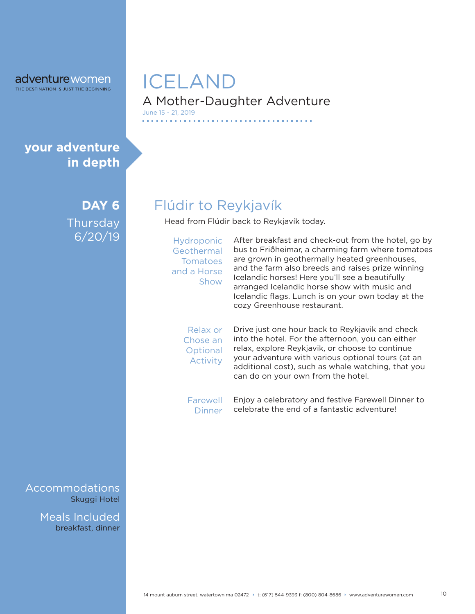### A Mother-Daughter Adventure ICELAND June 15 - 21, 2019

**your adventure in depth**

> **DAY 6 Thursday** 6/20/19

Flúdir to Reykjavík

Head from Flúdir back to Reykjavík today.

Hydroponic **Geothermal Tomatoes** and a Horse Show

After breakfast and check-out from the hotel, go by bus to Friðheimar, a charming farm where tomatoes are grown in geothermally heated greenhouses, and the farm also breeds and raises prize winning Icelandic horses! Here you'll see a beautifully arranged Icelandic horse show with music and Icelandic flags. Lunch is on your own today at the cozy Greenhouse restaurant.

Relax or Chose an **Optional** Activity

Drive just one hour back to Reykjavik and check into the hotel. For the afternoon, you can either relax, explore Reykjavik, or choose to continue your adventure with various optional tours (at an additional cost), such as whale watching, that you can do on your own from the hotel.

Enjoy a celebratory and festive Farewell Dinner to celebrate the end of a fantastic adventure! Farewell Dinner

Skuggi Hotel Accommodations

> breakfast, dinner Meals Included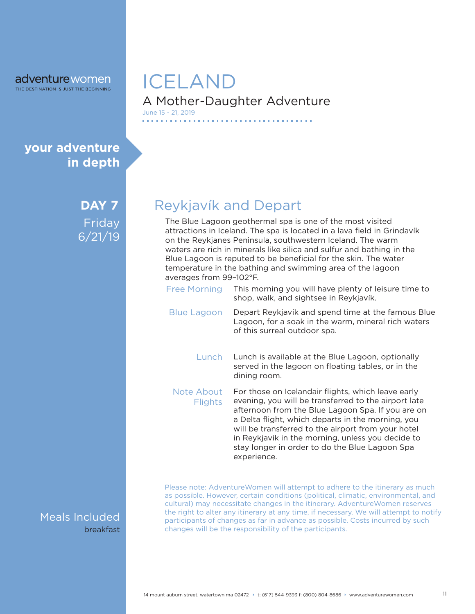## **your adventure in depth**

**DAY 7** Friday 6/21/19

Meals Included breakfast

## A Mother-Daughter Adventure ICELAND June 15 - 21, 2019

Reykjavík and Depart

The Blue Lagoon geothermal spa is one of the most visited attractions in Iceland. The spa is located in a lava field in Grindavík on the Reykjanes Peninsula, southwestern Iceland. The warm waters are rich in minerals like silica and sulfur and bathing in the Blue Lagoon is reputed to be beneficial for the skin. The water temperature in the bathing and swimming area of the lagoon averages from 99–102°F.

This morning you will have plenty of leisure time to shop, walk, and sightsee in Reykjavík. Free Morning Depart Reykjavík and spend time at the famous Blue Lagoon, for a soak in the warm, mineral rich waters of this surreal outdoor spa. Blue Lagoon Lunch is available at the Blue Lagoon, optionally served in the lagoon on floating tables, or in the dining room. **Lunch** 

For those on Icelandair flights, which leave early evening, you will be transferred to the airport late afternoon from the Blue Lagoon Spa. If you are on a Delta flight, which departs in the morning, you will be transferred to the airport from your hotel in Reykjavik in the morning, unless you decide to stay longer in order to do the Blue Lagoon Spa experience. Note About **Flights** 

Please note: AdventureWomen will attempt to adhere to the itinerary as much as possible. However, certain conditions (political, climatic, environmental, and cultural) may necessitate changes in the itinerary. AdventureWomen reserves the right to alter any itinerary at any time, if necessary. We will attempt to notify participants of changes as far in advance as possible. Costs incurred by such changes will be the responsibility of the participants.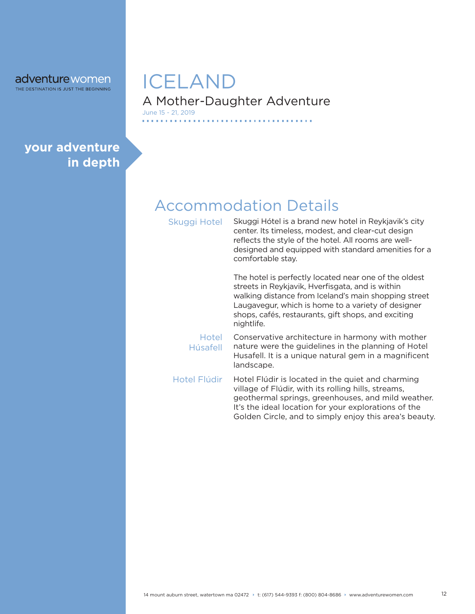#### A Mother-Daughter Adventure ICELAND June 15 - 21, 2019

**your adventure in depth**

# Accommodation Details

Skuggi Hotel

Skuggi Hótel is a brand new hotel in Reykjavik's city center. Its timeless, modest, and clear-cut design reflects the style of the hotel. All rooms are welldesigned and equipped with standard amenities for a comfortable stay.

The hotel is perfectly located near one of the oldest streets in Reykjavik, Hverfisgata, and is within walking distance from Iceland's main shopping street Laugavegur, which is home to a variety of designer shops, cafés, restaurants, gift shops, and exciting nightlife.

Hotel Húsafell

Conservative architecture in harmony with mother nature were the guidelines in the planning of Hotel Husafell. It is a unique natural gem in a magnificent landscape.

Hotel Flúdir is located in the quiet and charming village of Flúdir, with its rolling hills, streams, geothermal springs, greenhouses, and mild weather. It's the ideal location for your explorations of the Golden Circle, and to simply enjoy this area's beauty. Hotel Flúdir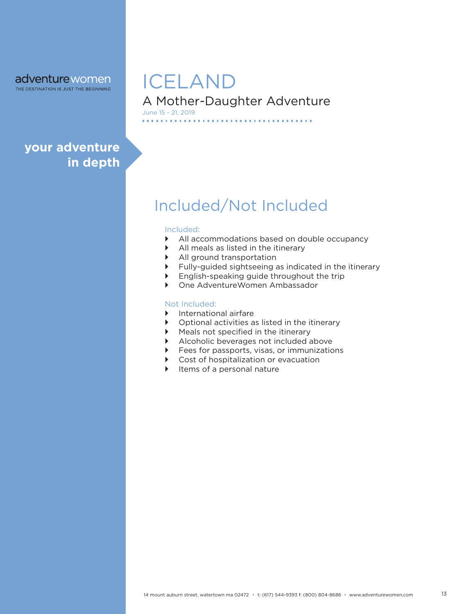THE DESTINATION IS JUST THE BEGINNING

# ICELAND

A Mother-Daughter Adventure June 15 - 21, 2019

## **your adventure in depth**

# Included/Not Included

#### Included:

. . . . . . . . . . . .

- ` All accommodations based on double occupancy
- $\blacktriangleright$  All meals as listed in the itinerary
- $\blacktriangleright$  All ground transportation
- $\blacktriangleright$  Fully-guided sightseeing as indicated in the itinerary

. . . . . . .

- $\triangleright$  English-speaking guide throughout the trip
- **Dimension Ambassador** Ambassador

#### Not Included:

- **International airfare**
- $\triangleright$  Optional activities as listed in the itinerary
- $\blacktriangleright$  Meals not specified in the itinerary
- $\blacktriangleright$  Alcoholic beverages not included above
- $\blacktriangleright$  Fees for passports, visas, or immunizations
- $\triangleright$  Cost of hospitalization or evacuation
- Items of a personal nature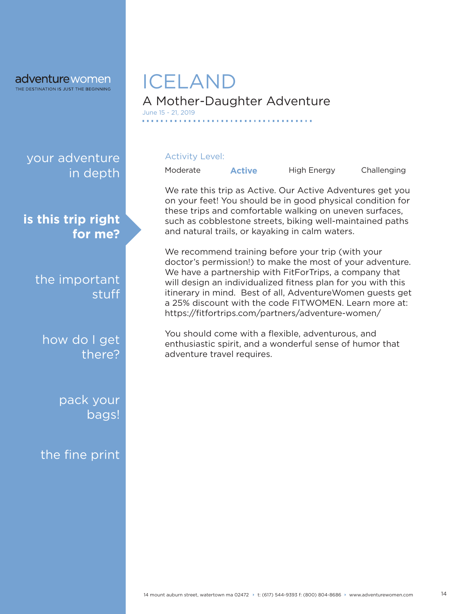THE DESTINATION IS JUST THE BEGINNING

## your adventure in depth

**is this trip right for me?**

> the important stuff

how do I get there?

> pack your bags!

the fine print

# A Mother-Daughter Adventure ICELAND

#### Activity Level:

June 15 - 21, 2019

Moderate **Active** High Energy Challenging

We rate this trip as Active. Our Active Adventures get you on your feet! You should be in good physical condition for these trips and comfortable walking on uneven surfaces, such as cobblestone streets, biking well-maintained paths and natural trails, or kayaking in calm waters.

We recommend training before your trip (with your doctor's permission!) to make the most of your adventure. We have a partnership with FitForTrips, a company that will design an individualized fitness plan for you with this itinerary in mind. Best of all, AdventureWomen guests get a 25% discount with the code FITWOMEN. Learn more at: https://fitfortrips.com/partners/adventure-women/

You should come with a flexible, adventurous, and enthusiastic spirit, and a wonderful sense of humor that adventure travel requires.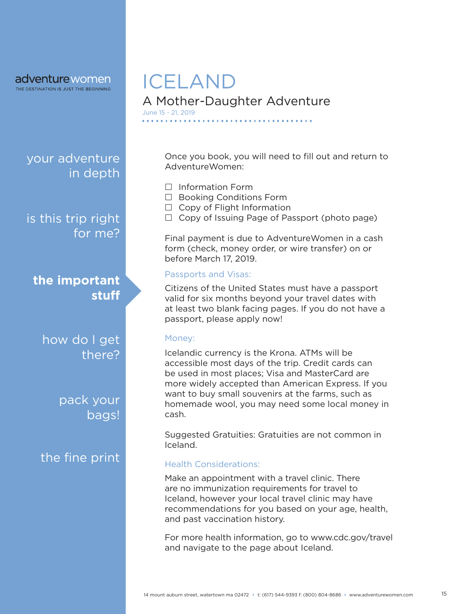THE DESTINATION IS JUST THE BEGINNING

your adventure in depth

is this trip right for me?

**the important stuff**

how do I get there?

> pack your bags!

the fine print

# ICELAND

A Mother-Daughter Adventure June 15 - 21, 2019

> Once you book, you will need to fill out and return to AdventureWomen:

- $\Box$  Information Form
- $\Box$  Booking Conditions Form
- $\Box$  Copy of Flight Information
- $\Box$  Copy of Issuing Page of Passport (photo page)

Final payment is due to AdventureWomen in a cash form (check, money order, or wire transfer) on or before March 17, 2019.

#### Passports and Visas:

Citizens of the United States must have a passport valid for six months beyond your travel dates with at least two blank facing pages. If you do not have a passport, please apply now!

#### Money:

Icelandic currency is the Krona. ATMs will be accessible most days of the trip. Credit cards can be used in most places; Visa and MasterCard are more widely accepted than American Express. If you want to buy small souvenirs at the farms, such as homemade wool, you may need some local money in cash.

Suggested Gratuities: Gratuities are not common in Iceland.

#### Health Considerations:

Make an appointment with a travel clinic. There are no immunization requirements for travel to Iceland, however your local travel clinic may have recommendations for you based on your age, health, and past vaccination history.

For more health information, go to www.cdc.gov/travel and navigate to the page about Iceland.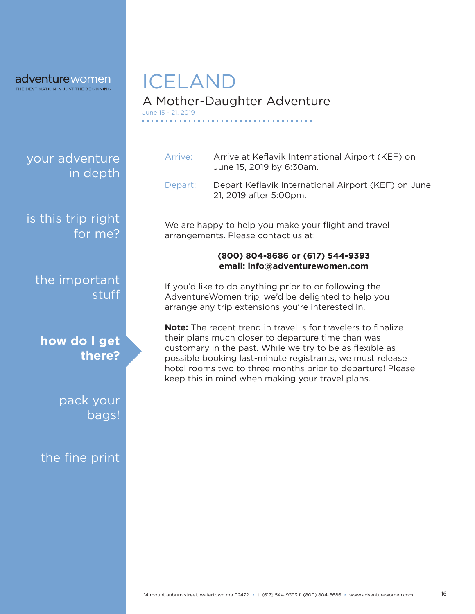THE DESTINATION IS JUST THE BEGINNING

your adventure in depth

is this trip right for me?

the important stuff

**how do I get there?**

> pack your bags!

the fine print

# ICELAND

## A Mother-Daughter Adventure

June 15 - 21, 2019

- Arrive: Arrive at Keflavik International Airport (KEF) on June 15, 2019 by 6:30am.
- Depart: Depart Keflavik International Airport (KEF) on June 21, 2019 after 5:00pm.

We are happy to help you make your flight and travel arrangements. Please contact us at:

#### **(800) 804-8686 or (617) 544-9393 email: info@adventurewomen.com**

If you'd like to do anything prior to or following the AdventureWomen trip, we'd be delighted to help you arrange any trip extensions you're interested in.

**Note:** The recent trend in travel is for travelers to finalize their plans much closer to departure time than was customary in the past. While we try to be as flexible as possible booking last-minute registrants, we must release hotel rooms two to three months prior to departure! Please keep this in mind when making your travel plans.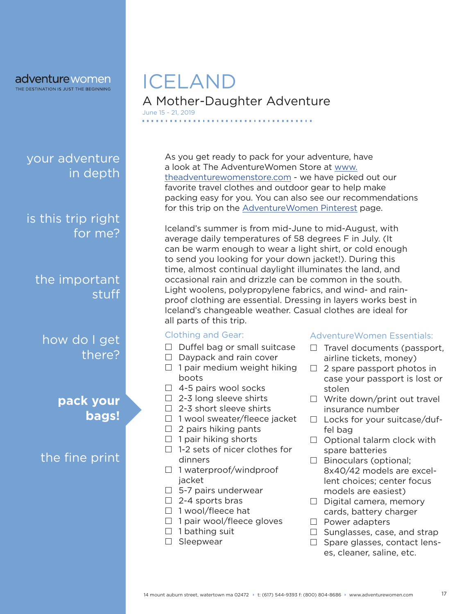THE DESTINATION IS JUST THE BEGINNING

your adventure in depth

is this trip right for me?

the important stuff

how do I get there?

> **pack your bags!**

the fine print

## A Mother-Daughter Adventure ICELAND June 15 - 21, 2019

As you get ready to pack for your adventure, have a look at The AdventureWomen Store at www. theadventurewomenstore.com - we have picked out our favorite travel clothes and outdoor gear to help make packing easy for you. You can also see our recommendations for this trip on the AdventureWomen Pinterest page.

Iceland's summer is from mid-June to mid-August, with average daily temperatures of 58 degrees F in July. (It can be warm enough to wear a light shirt, or cold enough to send you looking for your down jacket!). During this time, almost continual daylight illuminates the land, and occasional rain and drizzle can be common in the south. Light woolens, polypropylene fabrics, and wind- and rainproof clothing are essential. Dressing in layers works best in Iceland's changeable weather. Casual clothes are ideal for all parts of this trip.

#### Clothing and Gear:

- $\Box$  Duffel bag or small suitcase
- $\Box$  Daypack and rain cover
- $\Box$  1 pair medium weight hiking boots
- $\Box$  4-5 pairs wool socks
- $\Box$  2-3 long sleeve shirts
- $\Box$  2-3 short sleeve shirts
- $\Box$  1 wool sweater/fleece jacket
- $\Box$  2 pairs hiking pants
- $\Box$  1 pair hiking shorts
- $\Box$  1-2 sets of nicer clothes for dinners
- $\Box$  1 waterproof/windproof jacket
- $\Box$  5-7 pairs underwear
- $\Box$  2-4 sports bras
- $\Box$  1 wool/fleece hat
- $\Box$  1 pair wool/fleece gloves
- $\Box$  1 bathing suit
- □ Sleepwear

#### AdventureWomen Essentials:

- $\Box$  Travel documents (passport, airline tickets, money)
- $\Box$  2 spare passport photos in case your passport is lost or stolen
- $\Box$  Write down/print out travel insurance number
- $\Box$  Locks for your suitcase/duffel bag
- $\Box$  Optional talarm clock with spare batteries
- $\Box$  Binoculars (optional; 8x40/42 models are excellent choices; center focus models are easiest)
- $\Box$  Digital camera, memory cards, battery charger
- $\Box$  Power adapters
- $\Box$  Sunglasses, case, and strap
- $\Box$  Spare glasses, contact lenses, cleaner, saline, etc.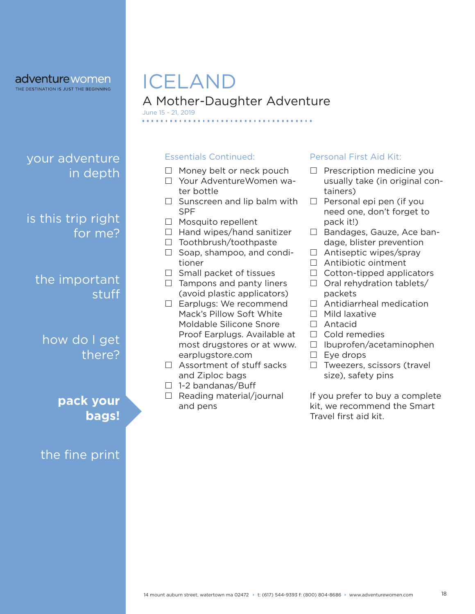THE DESTINATION IS JUST THE BEGINNING

# ICELAND

A Mother-Daughter Adventure

June 15 - 21, 2019

## your adventure in depth

is this trip right for me?

the important stuff

how do I get there?

> **pack your bags!**

the fine print

#### Essentials Continued:

- $\Box$  Money belt or neck pouch
- Your AdventureWomen water bottle
- $\Box$  Sunscreen and lip balm with SPF
- $\Box$  Mosquito repellent
- $\Box$  Hand wipes/hand sanitizer
- $\Box$  Toothbrush/toothpaste
- $\Box$  Soap, shampoo, and conditioner
- $\Box$  Small packet of tissues
- $\Box$  Tampons and panty liners (avoid plastic applicators)
- □ Earplugs: We recommend Mack's Pillow Soft White Moldable Silicone Snore Proof Earplugs. Available at most drugstores or at www. earplugstore.com
- $\Box$  Assortment of stuff sacks and Ziploc bags
- $\Box$  1-2 bandanas/Buff
- $\Box$  Reading material/journal and pens

#### Personal First Aid Kit:

- $\Box$  Prescription medicine you usually take (in original containers)
- $\Box$  Personal epi pen (if you need one, don't forget to pack it!)
- □ Bandages, Gauze, Ace bandage, blister prevention
- $\Box$  Antiseptic wipes/spray
- □ Antibiotic ointment
- $\Box$  Cotton-tipped applicators
- $\Box$  Oral rehydration tablets/ packets
- □ Antidiarrheal medication
- $\Box$  Mild laxative
- Antacid
- $\Box$  Cold remedies
- $\Box$  Ibuprofen/acetaminophen
- $\square$  Eye drops
- $\Box$  Tweezers, scissors (travel size), safety pins

If you prefer to buy a complete kit, we recommend the Smart Travel first aid kit.